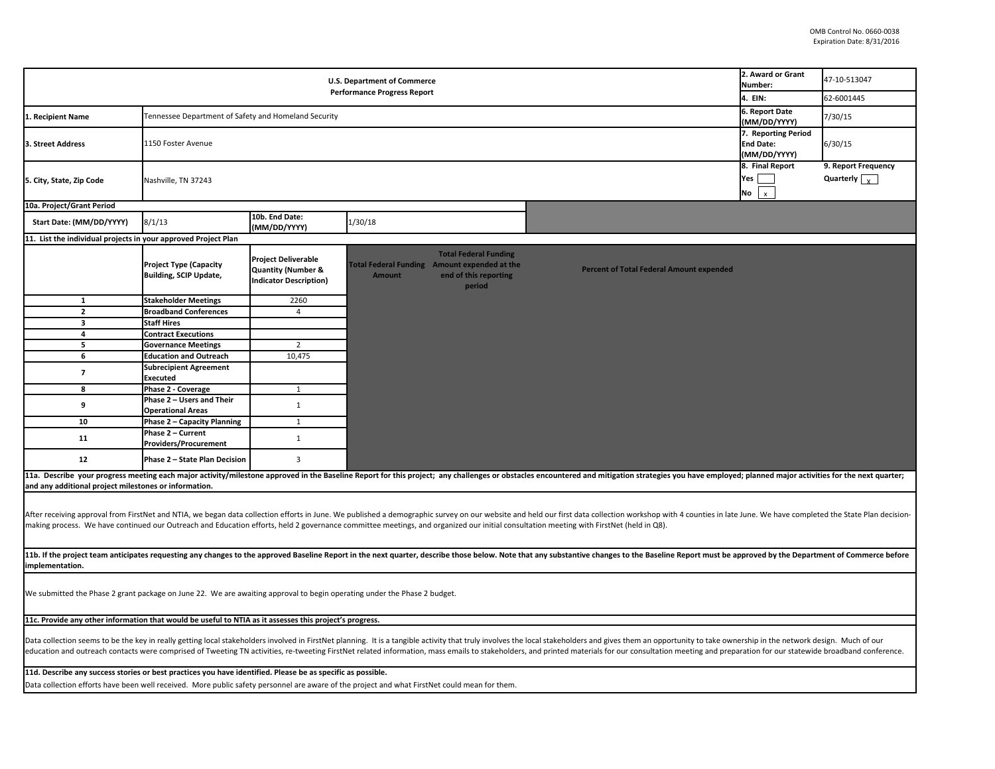| <b>U.S. Department of Commerce</b><br><b>Performance Progress Report</b>                                                                                                                                                                                                                                                                                                                                                                                         |                                                                |                                                                                              |                                                               |                                                                 |  |                                                 | 2. Award or Grant<br>Number:<br>4. EIN:                 | 47-10-513047<br>62-6001445                         |  |
|------------------------------------------------------------------------------------------------------------------------------------------------------------------------------------------------------------------------------------------------------------------------------------------------------------------------------------------------------------------------------------------------------------------------------------------------------------------|----------------------------------------------------------------|----------------------------------------------------------------------------------------------|---------------------------------------------------------------|-----------------------------------------------------------------|--|-------------------------------------------------|---------------------------------------------------------|----------------------------------------------------|--|
|                                                                                                                                                                                                                                                                                                                                                                                                                                                                  |                                                                |                                                                                              |                                                               |                                                                 |  |                                                 | 6. Report Date                                          |                                                    |  |
| 1. Recipient Name                                                                                                                                                                                                                                                                                                                                                                                                                                                | Tennessee Department of Safety and Homeland Security           |                                                                                              |                                                               |                                                                 |  |                                                 | (MM/DD/YYYY)                                            | 7/30/15                                            |  |
| 3. Street Address                                                                                                                                                                                                                                                                                                                                                                                                                                                | 1150 Foster Avenue                                             |                                                                                              |                                                               |                                                                 |  |                                                 | 7. Reporting Period<br><b>End Date:</b><br>(MM/DD/YYYY) | 6/30/15                                            |  |
| 5. City, State, Zip Code                                                                                                                                                                                                                                                                                                                                                                                                                                         | Nashville, TN 37243                                            |                                                                                              |                                                               |                                                                 |  |                                                 | 8. Final Report<br>Yes<br>No<br>$\mathbf{x}$            | 9. Report Frequency<br>Quarterly $\sqrt{\sqrt{2}}$ |  |
| 10a. Project/Grant Period                                                                                                                                                                                                                                                                                                                                                                                                                                        |                                                                |                                                                                              |                                                               |                                                                 |  |                                                 |                                                         |                                                    |  |
| Start Date: (MM/DD/YYYY)                                                                                                                                                                                                                                                                                                                                                                                                                                         | 8/1/13                                                         | 10b. End Date:<br>(MM/DD/YYYY)                                                               | 1/30/18                                                       |                                                                 |  |                                                 |                                                         |                                                    |  |
| 11. List the individual projects in your approved Project Plan                                                                                                                                                                                                                                                                                                                                                                                                   |                                                                |                                                                                              |                                                               |                                                                 |  |                                                 |                                                         |                                                    |  |
|                                                                                                                                                                                                                                                                                                                                                                                                                                                                  | <b>Project Type (Capacity</b><br>Building, SCIP Update,        | <b>Project Deliverable</b><br><b>Quantity (Number &amp;</b><br><b>Indicator Description)</b> | Total Federal Funding Amount expended at the<br><b>Amount</b> | <b>Total Federal Funding</b><br>end of this reporting<br>period |  | <b>Percent of Total Federal Amount expended</b> |                                                         |                                                    |  |
| 1                                                                                                                                                                                                                                                                                                                                                                                                                                                                | <b>Stakeholder Meetings</b>                                    | 2260                                                                                         |                                                               |                                                                 |  |                                                 |                                                         |                                                    |  |
| $\mathbf{z}$                                                                                                                                                                                                                                                                                                                                                                                                                                                     | <b>Broadband Conferences</b>                                   | $\overline{4}$                                                                               |                                                               |                                                                 |  |                                                 |                                                         |                                                    |  |
| $\overline{\mathbf{3}}$                                                                                                                                                                                                                                                                                                                                                                                                                                          | <b>Staff Hires</b>                                             |                                                                                              |                                                               |                                                                 |  |                                                 |                                                         |                                                    |  |
| $\overline{\mathbf{4}}$                                                                                                                                                                                                                                                                                                                                                                                                                                          | <b>Contract Executions</b>                                     |                                                                                              |                                                               |                                                                 |  |                                                 |                                                         |                                                    |  |
| 5<br>6                                                                                                                                                                                                                                                                                                                                                                                                                                                           | <b>Governance Meetings</b>                                     | $\overline{2}$                                                                               |                                                               |                                                                 |  |                                                 |                                                         |                                                    |  |
| $\overline{7}$                                                                                                                                                                                                                                                                                                                                                                                                                                                   | <b>Education and Outreach</b><br><b>Subrecipient Agreement</b> | 10,475                                                                                       |                                                               |                                                                 |  |                                                 |                                                         |                                                    |  |
|                                                                                                                                                                                                                                                                                                                                                                                                                                                                  | <b>Executed</b>                                                |                                                                                              |                                                               |                                                                 |  |                                                 |                                                         |                                                    |  |
| 8                                                                                                                                                                                                                                                                                                                                                                                                                                                                | Phase 2 - Coverage                                             | $\mathbf{1}$                                                                                 |                                                               |                                                                 |  |                                                 |                                                         |                                                    |  |
| 9                                                                                                                                                                                                                                                                                                                                                                                                                                                                | Phase 2 - Users and Their<br><b>Operational Areas</b>          | $1\,$                                                                                        |                                                               |                                                                 |  |                                                 |                                                         |                                                    |  |
| 10                                                                                                                                                                                                                                                                                                                                                                                                                                                               | Phase 2 - Capacity Planning                                    | $\mathbf{1}$                                                                                 |                                                               |                                                                 |  |                                                 |                                                         |                                                    |  |
| 11                                                                                                                                                                                                                                                                                                                                                                                                                                                               | Phase 2 – Current<br>Providers/Procurement                     | $\mathbf 1$                                                                                  |                                                               |                                                                 |  |                                                 |                                                         |                                                    |  |
| 12                                                                                                                                                                                                                                                                                                                                                                                                                                                               | Phase 2 - State Plan Decision                                  | 3                                                                                            |                                                               |                                                                 |  |                                                 |                                                         |                                                    |  |
| 11a. Describe your progress meeting each major activity/milestone approved in the Baseline Report for this project; any challenges or obstacles encountered and mitigation strategies you have employed; planned major activit<br>and any additional project milestones or information.                                                                                                                                                                          |                                                                |                                                                                              |                                                               |                                                                 |  |                                                 |                                                         |                                                    |  |
| After receiving approval from FirstNet and NTIA, we began data collection efforts in June. We published a demographic survey on our website and held our first data collection workshop with 4 counties in late June. We have<br>making process. We have continued our Outreach and Education efforts, held 2 governance committee meetings, and organized our initial consultation meeting with FirstNet (held in Q8).                                          |                                                                |                                                                                              |                                                               |                                                                 |  |                                                 |                                                         |                                                    |  |
| 11b. If the project team anticipates requesting any changes to the approved Baseline Report in the next quarter, describe those below. Note that any substantive changes to the Baseline Report must be approved by the Depart<br>implementation.                                                                                                                                                                                                                |                                                                |                                                                                              |                                                               |                                                                 |  |                                                 |                                                         |                                                    |  |
| We submitted the Phase 2 grant package on June 22. We are awaiting approval to begin operating under the Phase 2 budget.                                                                                                                                                                                                                                                                                                                                         |                                                                |                                                                                              |                                                               |                                                                 |  |                                                 |                                                         |                                                    |  |
| 11c. Provide any other information that would be useful to NTIA as it assesses this project's progress.                                                                                                                                                                                                                                                                                                                                                          |                                                                |                                                                                              |                                                               |                                                                 |  |                                                 |                                                         |                                                    |  |
| Data collection seems to be the key in really getting local stakeholders involved in FirstNet planning. It is a tangible activity that truly involves the local stakeholders and gives them an opportunity to take ownership i<br>education and outreach contacts were comprised of Tweeting TN activities, re-tweeting FirstNet related information, mass emails to stakeholders, and printed materials for our consultation meeting and preparation for our st |                                                                |                                                                                              |                                                               |                                                                 |  |                                                 |                                                         |                                                    |  |
| 11d. Describe any success stories or best practices you have identified. Please be as specific as possible.<br>Data collection efforts have been well received. More public safety personnel are aware of the project and what FirstNet could mean for them.                                                                                                                                                                                                     |                                                                |                                                                                              |                                                               |                                                                 |  |                                                 |                                                         |                                                    |  |